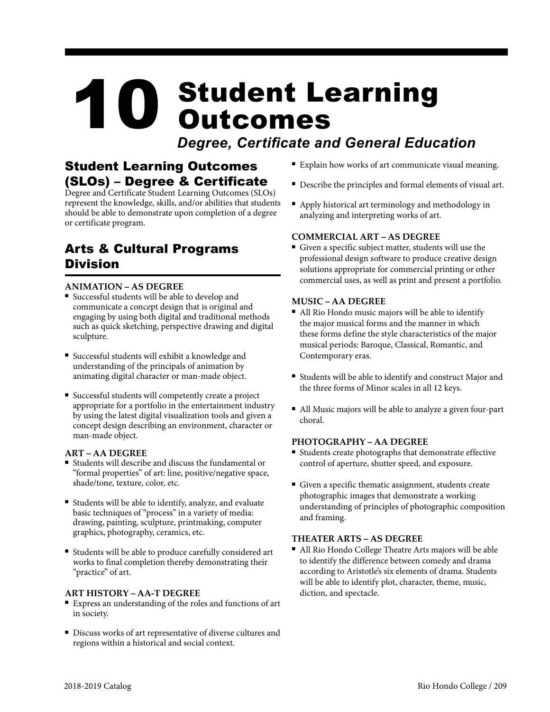# 10 Student Learning<br>Outcomes Outcomes

*Degree, Certificate and General Education*

# Student Learning Outcomes (SLOs) – Degree & Certificate

Degree and Certificate Student Learning Outcomes (SLOs) represent the knowledge, skills, and/or abilities that students should be able to demonstrate upon completion of a degree or certificate program.

# Arts & Cultural Programs Division

### **ANIMATION – AS DEGREE**

- <sup>n</sup> Successful students will be able to develop and communicate a concept design that is original and engaging by using both digital and traditional methods such as quick sketching, perspective drawing and digital sculpture.
- <sup>n</sup> Successful students will exhibit a knowledge and understanding of the principals of animation by animating digital character or man-made object.
- Successful students will competently create a project appropriate for a portfolio in the entertainment industry by using the latest digital visualization tools and given a concept design describing an environment, character or man-made object.

#### **ART – AA DEGREE**

- <sup>n</sup> Students will describe and discuss the fundamental or "formal properties" of art: line, positive/negative space, shade/tone, texture, color, etc.
- <sup>n</sup> Students will be able to identify, analyze, and evaluate basic techniques of "process" in a variety of media: drawing, painting, sculpture, printmaking, computer graphics, photography, ceramics, etc.
- <sup>n</sup> Students will be able to produce carefully considered art works to final completion thereby demonstrating their "practice" of art.

#### **ART HISTORY – AA-T DEGREE**

- <sup>n</sup> Express an understanding of the roles and functions of art in society.
- <sup>n</sup> Discuss works of art representative of diverse cultures and regions within a historical and social context.
- Explain how works of art communicate visual meaning.
- <sup>n</sup> Describe the principles and formal elements of visual art.
- <sup>n</sup> Apply historical art terminology and methodology in analyzing and interpreting works of art.

#### **COMMERCIAL ART – AS DEGREE**

Given a specific subject matter, students will use the professional design software to produce creative design solutions appropriate for commercial printing or other commercial uses, as well as print and present a portfolio.

#### **MUSIC – AA DEGREE**

- All Rio Hondo music majors will be able to identify the major musical forms and the manner in which these forms define the style characteristics of the major musical periods: Baroque, Classical, Romantic, and Contemporary eras.
- Students will be able to identify and construct Major and the three forms of Minor scales in all 12 keys.
- All Music majors will be able to analyze a given four-part choral.

#### **PHOTOGRAPHY – AA DEGREE**

- Students create photographs that demonstrate effective control of aperture, shutter speed, and exposure.
- Given a specific thematic assignment, students create photographic images that demonstrate a working understanding of principles of photographic composition and framing.

#### **THEATER ARTS – AS DEGREE**

<sup>n</sup> All Rio Hondo College Theatre Arts majors will be able to identify the difference between comedy and drama according to Aristotle's six elements of drama. Students will be able to identify plot, character, theme, music, diction, and spectacle.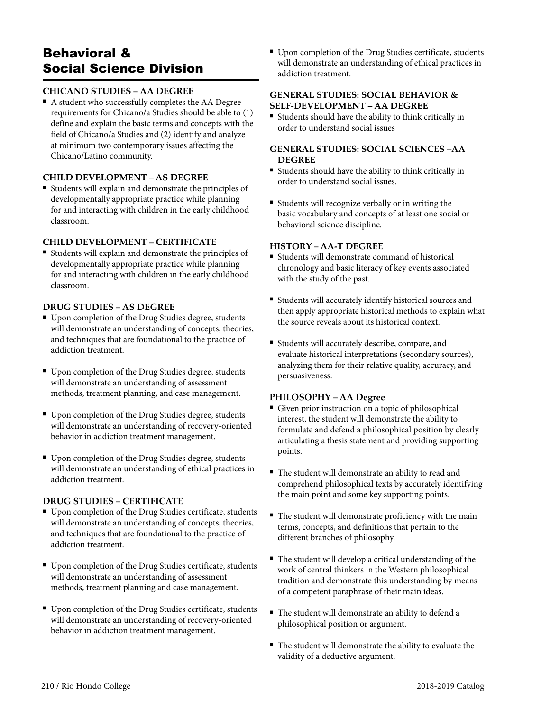# Behavioral & Social Science Division

#### **CHICANO STUDIES – AA DEGREE**

<sup>n</sup> A student who successfully completes the AA Degree requirements for Chicano/a Studies should be able to (1) define and explain the basic terms and concepts with the field of Chicano/a Studies and (2) identify and analyze at minimum two contemporary issues affecting the Chicano/Latino community.

#### **CHILD DEVELOPMENT – AS DEGREE**

Students will explain and demonstrate the principles of developmentally appropriate practice while planning for and interacting with children in the early childhood classroom.

#### **CHILD DEVELOPMENT – CERTIFICATE**

<sup>n</sup> Students will explain and demonstrate the principles of developmentally appropriate practice while planning for and interacting with children in the early childhood classroom.

#### **DRUG STUDIES – AS DEGREE**

- Upon completion of the Drug Studies degree, students will demonstrate an understanding of concepts, theories, and techniques that are foundational to the practice of addiction treatment.
- <sup>n</sup> Upon completion of the Drug Studies degree, students will demonstrate an understanding of assessment methods, treatment planning, and case management.
- <sup>n</sup> Upon completion of the Drug Studies degree, students will demonstrate an understanding of recovery-oriented behavior in addiction treatment management.
- <sup>n</sup> Upon completion of the Drug Studies degree, students will demonstrate an understanding of ethical practices in addiction treatment.

#### **DRUG STUDIES – CERTIFICATE**

- Upon completion of the Drug Studies certificate, students will demonstrate an understanding of concepts, theories, and techniques that are foundational to the practice of addiction treatment.
- <sup>n</sup> Upon completion of the Drug Studies certificate, students will demonstrate an understanding of assessment methods, treatment planning and case management.
- <sup>n</sup> Upon completion of the Drug Studies certificate, students will demonstrate an understanding of recovery-oriented behavior in addiction treatment management.

<sup>n</sup> Upon completion of the Drug Studies certificate, students will demonstrate an understanding of ethical practices in addiction treatment.

#### **GENERAL STUDIES: SOCIAL BEHAVIOR & SELF-DEVELOPMENT – AA DEGREE**

<sup>n</sup> Students should have the ability to think critically in order to understand social issues

#### **GENERAL STUDIES: SOCIAL SCIENCES –AA DEGREE**

- <sup>n</sup> Students should have the ability to think critically in order to understand social issues.
- <sup>n</sup> Students will recognize verbally or in writing the basic vocabulary and concepts of at least one social or behavioral science discipline.

#### **HISTORY – AA-T DEGREE**

- Students will demonstrate command of historical chronology and basic literacy of key events associated with the study of the past.
- <sup>n</sup> Students will accurately identify historical sources and then apply appropriate historical methods to explain what the source reveals about its historical context.
- <sup>n</sup> Students will accurately describe, compare, and evaluate historical interpretations (secondary sources), analyzing them for their relative quality, accuracy, and persuasiveness.

#### **PHILOSOPHY – AA Degree**

- Given prior instruction on a topic of philosophical interest, the student will demonstrate the ability to formulate and defend a philosophical position by clearly articulating a thesis statement and providing supporting points.
- The student will demonstrate an ability to read and comprehend philosophical texts by accurately identifying the main point and some key supporting points.
- The student will demonstrate proficiency with the main terms, concepts, and definitions that pertain to the different branches of philosophy.
- <sup>n</sup> The student will develop a critical understanding of the work of central thinkers in the Western philosophical tradition and demonstrate this understanding by means of a competent paraphrase of their main ideas.
- <sup>n</sup> The student will demonstrate an ability to defend a philosophical position or argument.
- <sup>n</sup> The student will demonstrate the ability to evaluate the validity of a deductive argument.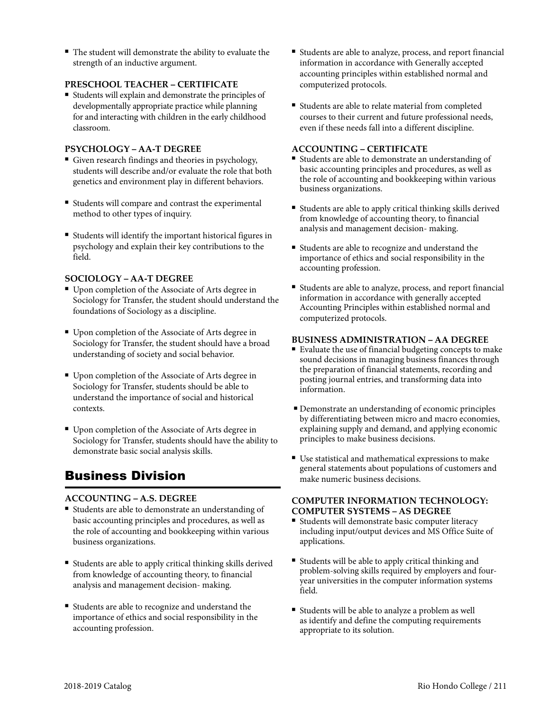■ The student will demonstrate the ability to evaluate the strength of an inductive argument.

#### **PRESCHOOL TEACHER – CERTIFICATE**

<sup>n</sup> Students will explain and demonstrate the principles of developmentally appropriate practice while planning for and interacting with children in the early childhood classroom.

#### **PSYCHOLOGY – AA-T DEGREE**

- Given research findings and theories in psychology, students will describe and/or evaluate the role that both genetics and environment play in different behaviors.
- <sup>n</sup> Students will compare and contrast the experimental method to other types of inquiry.
- <sup>n</sup> Students will identify the important historical figures in psychology and explain their key contributions to the field.

#### **SOCIOLOGY – AA-T DEGREE**

- Upon completion of the Associate of Arts degree in Sociology for Transfer, the student should understand the foundations of Sociology as a discipline.
- Upon completion of the Associate of Arts degree in Sociology for Transfer, the student should have a broad understanding of society and social behavior.
- Upon completion of the Associate of Arts degree in Sociology for Transfer, students should be able to understand the importance of social and historical contexts.
- <sup>n</sup> Upon completion of the Associate of Arts degree in Sociology for Transfer, students should have the ability to demonstrate basic social analysis skills.

# Business Division

#### **ACCOUNTING – A.S. DEGREE**

- <sup>n</sup> Students are able to demonstrate an understanding of basic accounting principles and procedures, as well as the role of accounting and bookkeeping within various business organizations.
- <sup>n</sup> Students are able to apply critical thinking skills derived from knowledge of accounting theory, to financial analysis and management decision- making.
- <sup>n</sup> Students are able to recognize and understand the importance of ethics and social responsibility in the accounting profession.
- <sup>n</sup> Students are able to analyze, process, and report financial information in accordance with Generally accepted accounting principles within established normal and computerized protocols.
- Students are able to relate material from completed courses to their current and future professional needs, even if these needs fall into a different discipline.

#### **ACCOUNTING – CERTIFICATE**

- Students are able to demonstrate an understanding of basic accounting principles and procedures, as well as the role of accounting and bookkeeping within various business organizations.
- Students are able to apply critical thinking skills derived from knowledge of accounting theory, to financial analysis and management decision- making.
- <sup>n</sup> Students are able to recognize and understand the importance of ethics and social responsibility in the accounting profession.
- <sup>n</sup> Students are able to analyze, process, and report financial information in accordance with generally accepted Accounting Principles within established normal and computerized protocols.

#### **BUSINESS ADMINISTRATION – AA DEGREE**

- Evaluate the use of financial budgeting concepts to make sound decisions in managing business finances through the preparation of financial statements, recording and posting journal entries, and transforming data into information.
- <sup>n</sup> Demonstrate an understanding of economic principles by differentiating between micro and macro economies, explaining supply and demand, and applying economic principles to make business decisions.
- $\blacksquare$  Use statistical and mathematical expressions to make general statements about populations of customers and make numeric business decisions.

#### **COMPUTER INFORMATION TECHNOLOGY: COMPUTER SYSTEMS – AS DEGREE**

- Students will demonstrate basic computer literacy including input/output devices and MS Office Suite of applications.
- Students will be able to apply critical thinking and problem-solving skills required by employers and fouryear universities in the computer information systems field.
- Students will be able to analyze a problem as well as identify and define the computing requirements appropriate to its solution.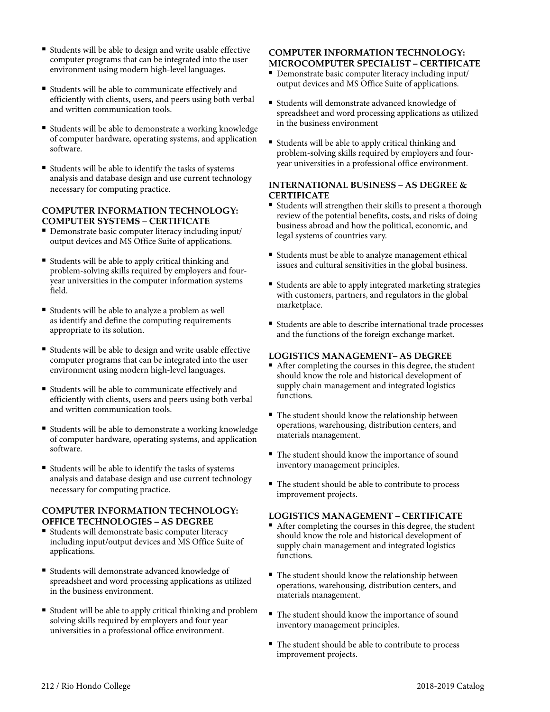- Students will be able to design and write usable effective computer programs that can be integrated into the user environment using modern high-level languages.
- Students will be able to communicate effectively and efficiently with clients, users, and peers using both verbal and written communication tools.
- Students will be able to demonstrate a working knowledge of computer hardware, operating systems, and application software.
- <sup>n</sup> Students will be able to identify the tasks of systems analysis and database design and use current technology necessary for computing practice.

#### **COMPUTER INFORMATION TECHNOLOGY: COMPUTER SYSTEMS – CERTIFICATE**

- <sup>n</sup> Demonstrate basic computer literacy including input/ output devices and MS Office Suite of applications.
- <sup>n</sup> Students will be able to apply critical thinking and problem-solving skills required by employers and fouryear universities in the computer information systems field.
- <sup>n</sup> Students will be able to analyze a problem as well as identify and define the computing requirements appropriate to its solution.
- Students will be able to design and write usable effective computer programs that can be integrated into the user environment using modern high-level languages.
- <sup>n</sup> Students will be able to communicate effectively and efficiently with clients, users and peers using both verbal and written communication tools.
- Students will be able to demonstrate a working knowledge of computer hardware, operating systems, and application software.
- Students will be able to identify the tasks of systems analysis and database design and use current technology necessary for computing practice.

#### **COMPUTER INFORMATION TECHNOLOGY: OFFICE TECHNOLOGIES – AS DEGREE**

- Students will demonstrate basic computer literacy including input/output devices and MS Office Suite of applications.
- Students will demonstrate advanced knowledge of spreadsheet and word processing applications as utilized in the business environment.
- <sup>n</sup> Student will be able to apply critical thinking and problem solving skills required by employers and four year universities in a professional office environment.

#### **COMPUTER INFORMATION TECHNOLOGY: MICROCOMPUTER SPECIALIST – CERTIFICATE**

- <sup>n</sup> Demonstrate basic computer literacy including input/ output devices and MS Office Suite of applications.
- <sup>n</sup> Students will demonstrate advanced knowledge of spreadsheet and word processing applications as utilized in the business environment
- <sup>n</sup> Students will be able to apply critical thinking and problem-solving skills required by employers and fouryear universities in a professional office environment.

#### **INTERNATIONAL BUSINESS – AS DEGREE & CERTIFICATE**

- Students will strengthen their skills to present a thorough review of the potential benefits, costs, and risks of doing business abroad and how the political, economic, and legal systems of countries vary.
- Students must be able to analyze management ethical issues and cultural sensitivities in the global business.
- Students are able to apply integrated marketing strategies with customers, partners, and regulators in the global marketplace.
- <sup>n</sup> Students are able to describe international trade processes and the functions of the foreign exchange market.

#### **LOGISTICS MANAGEMENT– AS DEGREE**

- <sup>n</sup> After completing the courses in this degree, the student should know the role and historical development of supply chain management and integrated logistics functions.
- $\blacksquare$  The student should know the relationship between operations, warehousing, distribution centers, and materials management.
- $\blacksquare$  The student should know the importance of sound inventory management principles.
- <sup>n</sup> The student should be able to contribute to process improvement projects.

#### **LOGISTICS MANAGEMENT – CERTIFICATE**

- $\blacksquare$  After completing the courses in this degree, the student should know the role and historical development of supply chain management and integrated logistics functions.
- The student should know the relationship between operations, warehousing, distribution centers, and materials management.
- The student should know the importance of sound inventory management principles.
- <sup>n</sup> The student should be able to contribute to process improvement projects.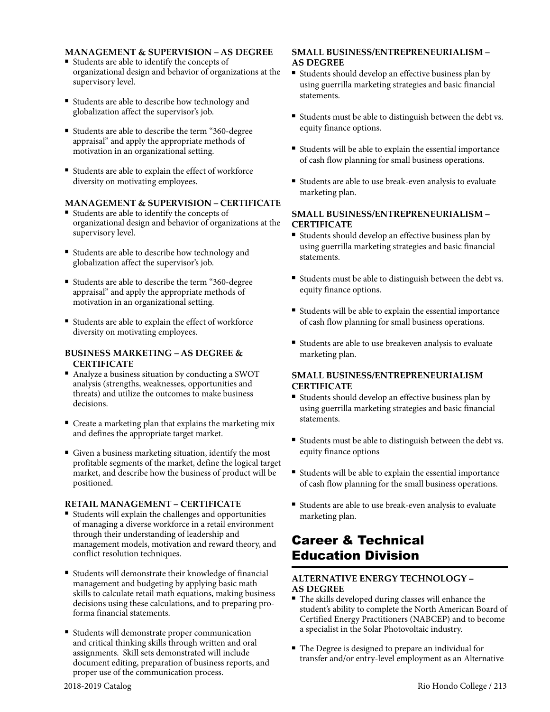#### **MANAGEMENT & SUPERVISION – AS DEGREE**

- Students are able to identify the concepts of organizational design and behavior of organizations at the supervisory level.
- <sup>n</sup> Students are able to describe how technology and globalization affect the supervisor's job.
- <sup>n</sup> Students are able to describe the term "360-degree appraisal" and apply the appropriate methods of motivation in an organizational setting.
- <sup>n</sup> Students are able to explain the effect of workforce diversity on motivating employees.

#### **MANAGEMENT & SUPERVISION – CERTIFICATE**

- Students are able to identify the concepts of organizational design and behavior of organizations at the supervisory level.
- <sup>n</sup> Students are able to describe how technology and globalization affect the supervisor's job.
- <sup>n</sup> Students are able to describe the term "360-degree appraisal" and apply the appropriate methods of motivation in an organizational setting.
- <sup>n</sup> Students are able to explain the effect of workforce diversity on motivating employees.

#### **BUSINESS MARKETING – AS DEGREE & CERTIFICATE**

- <sup>n</sup> Analyze a business situation by conducting a SWOT analysis (strengths, weaknesses, opportunities and threats) and utilize the outcomes to make business decisions.
- $\blacksquare$  Create a marketing plan that explains the marketing mix and defines the appropriate target market.
- <sup>n</sup> Given a business marketing situation, identify the most profitable segments of the market, define the logical target market, and describe how the business of product will be positioned.

#### **RETAIL MANAGEMENT – CERTIFICATE**

- Students will explain the challenges and opportunities of managing a diverse workforce in a retail environment through their understanding of leadership and management models, motivation and reward theory, and conflict resolution techniques.
- Students will demonstrate their knowledge of financial management and budgeting by applying basic math skills to calculate retail math equations, making business decisions using these calculations, and to preparing proforma financial statements.
- Students will demonstrate proper communication and critical thinking skills through written and oral assignments. Skill sets demonstrated will include document editing, preparation of business reports, and proper use of the communication process.

#### **SMALL BUSINESS/ENTREPRENEURIALISM – AS DEGREE**

- <sup>n</sup> Students should develop an effective business plan by using guerrilla marketing strategies and basic financial statements.
- <sup>n</sup> Students must be able to distinguish between the debt vs. equity finance options.
- Students will be able to explain the essential importance of cash flow planning for small business operations.
- <sup>n</sup> Students are able to use break-even analysis to evaluate marketing plan.

#### **SMALL BUSINESS/ENTREPRENEURIALISM – CERTIFICATE**

- <sup>n</sup> Students should develop an effective business plan by using guerrilla marketing strategies and basic financial statements.
- Students must be able to distinguish between the debt vs. equity finance options.
- <sup>n</sup> Students will be able to explain the essential importance of cash flow planning for small business operations.
- Students are able to use breakeven analysis to evaluate marketing plan.

#### **SMALL BUSINESS/ENTREPRENEURIALISM CERTIFICATE**

- Students should develop an effective business plan by using guerrilla marketing strategies and basic financial statements.
- <sup>n</sup> Students must be able to distinguish between the debt vs. equity finance options
- <sup>n</sup> Students will be able to explain the essential importance of cash flow planning for the small business operations.
- <sup>n</sup> Students are able to use break-even analysis to evaluate marketing plan.

# Career & Technical Education Division

#### **ALTERNATIVE ENERGY TECHNOLOGY – AS DEGREE**

- <sup>n</sup> The skills developed during classes will enhance the student's ability to complete the North American Board of Certified Energy Practitioners (NABCEP) and to become a specialist in the Solar Photovoltaic industry.
- The Degree is designed to prepare an individual for transfer and/or entry-level employment as an Alternative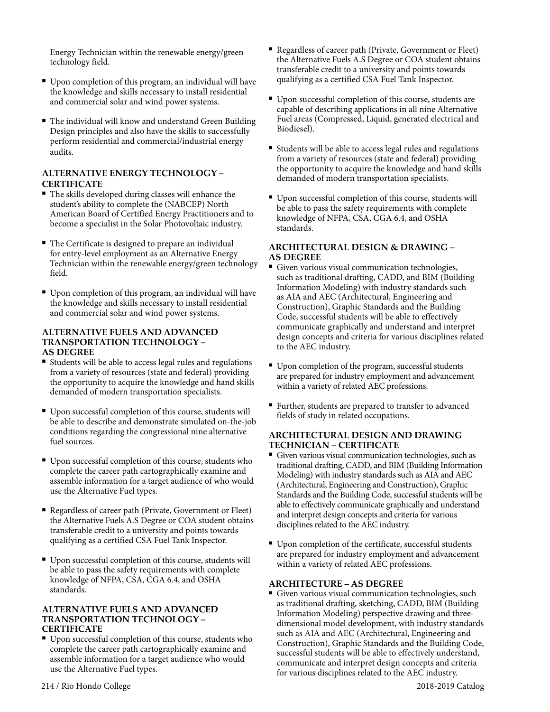Energy Technician within the renewable energy/green technology field.

- Upon completion of this program, an individual will have the knowledge and skills necessary to install residential and commercial solar and wind power systems.
- The individual will know and understand Green Building Design principles and also have the skills to successfully perform residential and commercial/industrial energy audits.

#### **ALTERNATIVE ENERGY TECHNOLOGY – CERTIFICATE**

- $\blacksquare$  The skills developed during classes will enhance the student's ability to complete the (NABCEP) North American Board of Certified Energy Practitioners and to become a specialist in the Solar Photovoltaic industry.
- The Certificate is designed to prepare an individual for entry-level employment as an Alternative Energy Technician within the renewable energy/green technology field.
- Upon completion of this program, an individual will have the knowledge and skills necessary to install residential and commercial solar and wind power systems.

#### **ALTERNATIVE FUELS AND ADVANCED TRANSPORTATION TECHNOLOGY – AS DEGREE**

- Students will be able to access legal rules and regulations from a variety of resources (state and federal) providing the opportunity to acquire the knowledge and hand skills demanded of modern transportation specialists.
- Upon successful completion of this course, students will be able to describe and demonstrate simulated on-the-job conditions regarding the congressional nine alternative fuel sources.
- <sup>n</sup> Upon successful completion of this course, students who complete the career path cartographically examine and assemble information for a target audience of who would use the Alternative Fuel types.
- <sup>n</sup> Regardless of career path (Private, Government or Fleet) the Alternative Fuels A.S Degree or COA student obtains transferable credit to a university and points towards qualifying as a certified CSA Fuel Tank Inspector.
- Upon successful completion of this course, students will be able to pass the safety requirements with complete knowledge of NFPA, CSA, CGA 6.4, and OSHA standards.

#### **ALTERNATIVE FUELS AND ADVANCED TRANSPORTATION TECHNOLOGY – CERTIFICATE**

<sup>n</sup> Upon successful completion of this course, students who complete the career path cartographically examine and assemble information for a target audience who would use the Alternative Fuel types.

- <sup>n</sup> Regardless of career path (Private, Government or Fleet) the Alternative Fuels A.S Degree or COA student obtains transferable credit to a university and points towards qualifying as a certified CSA Fuel Tank Inspector.
- Upon successful completion of this course, students are capable of describing applications in all nine Alternative Fuel areas (Compressed, Liquid, generated electrical and Biodiesel).
- Students will be able to access legal rules and regulations from a variety of resources (state and federal) providing the opportunity to acquire the knowledge and hand skills demanded of modern transportation specialists.
- <sup>n</sup> Upon successful completion of this course, students will be able to pass the safety requirements with complete knowledge of NFPA, CSA, CGA 6.4, and OSHA standards.

#### **ARCHITECTURAL DESIGN & DRAWING – AS DEGREE**

- <sup>n</sup> Given various visual communication technologies, such as traditional drafting, CADD, and BIM (Building Information Modeling) with industry standards such as AIA and AEC (Architectural, Engineering and Construction), Graphic Standards and the Building Code, successful students will be able to effectively communicate graphically and understand and interpret design concepts and criteria for various disciplines related to the AEC industry.
- Upon completion of the program, successful students are prepared for industry employment and advancement within a variety of related AEC professions.
- <sup>n</sup> Further, students are prepared to transfer to advanced fields of study in related occupations.

#### **ARCHITECTURAL DESIGN AND DRAWING TECHNICIAN – CERTIFICATE**

- <sup>n</sup> Given various visual communication technologies, such as traditional drafting, CADD, and BIM (Building Information Modeling) with industry standards such as AIA and AEC (Architectural, Engineering and Construction), Graphic Standards and the Building Code, successful students will be able to effectively communicate graphically and understand and interpret design concepts and criteria for various disciplines related to the AEC industry.
- <sup>n</sup> Upon completion of the certificate, successful students are prepared for industry employment and advancement within a variety of related AEC professions.

#### **ARCHITECTURE – AS DEGREE**

<sup>n</sup> Given various visual communication technologies, such as traditional drafting, sketching, CADD, BIM (Building Information Modeling) perspective drawing and threedimensional model development, with industry standards such as AIA and AEC (Architectural, Engineering and Construction), Graphic Standards and the Building Code, successful students will be able to effectively understand, communicate and interpret design concepts and criteria for various disciplines related to the AEC industry.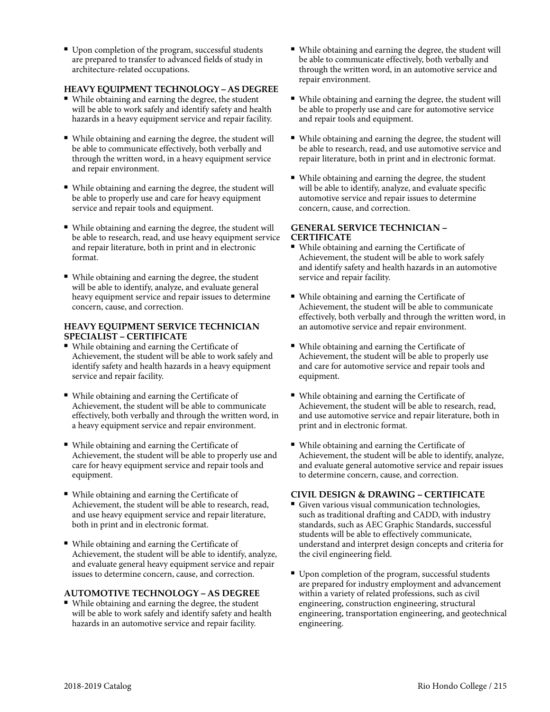■ Upon completion of the program, successful students are prepared to transfer to advanced fields of study in architecture-related occupations.

#### **HEAVY EQUIPMENT TECHNOLOGY – AS DEGREE**

- While obtaining and earning the degree, the student will be able to work safely and identify safety and health hazards in a heavy equipment service and repair facility.
- <sup>n</sup> While obtaining and earning the degree, the student will be able to communicate effectively, both verbally and through the written word, in a heavy equipment service and repair environment.
- <sup>n</sup> While obtaining and earning the degree, the student will be able to properly use and care for heavy equipment service and repair tools and equipment.
- <sup>n</sup> While obtaining and earning the degree, the student will be able to research, read, and use heavy equipment service and repair literature, both in print and in electronic format.
- While obtaining and earning the degree, the student will be able to identify, analyze, and evaluate general heavy equipment service and repair issues to determine concern, cause, and correction.

#### **HEAVY EQUIPMENT SERVICE TECHNICIAN SPECIALIST – CERTIFICATE**

- While obtaining and earning the Certificate of Achievement, the student will be able to work safely and identify safety and health hazards in a heavy equipment service and repair facility.
- While obtaining and earning the Certificate of Achievement, the student will be able to communicate effectively, both verbally and through the written word, in a heavy equipment service and repair environment.
- While obtaining and earning the Certificate of Achievement, the student will be able to properly use and care for heavy equipment service and repair tools and equipment.
- While obtaining and earning the Certificate of Achievement, the student will be able to research, read, and use heavy equipment service and repair literature, both in print and in electronic format.
- While obtaining and earning the Certificate of Achievement, the student will be able to identify, analyze, and evaluate general heavy equipment service and repair issues to determine concern, cause, and correction.

#### **AUTOMOTIVE TECHNOLOGY – AS DEGREE**

<sup>n</sup> While obtaining and earning the degree, the student will be able to work safely and identify safety and health hazards in an automotive service and repair facility.

- <sup>n</sup> While obtaining and earning the degree, the student will be able to communicate effectively, both verbally and through the written word, in an automotive service and repair environment.
- <sup>n</sup> While obtaining and earning the degree, the student will be able to properly use and care for automotive service and repair tools and equipment.
- <sup>n</sup> While obtaining and earning the degree, the student will be able to research, read, and use automotive service and repair literature, both in print and in electronic format.
- <sup>n</sup> While obtaining and earning the degree, the student will be able to identify, analyze, and evaluate specific automotive service and repair issues to determine concern, cause, and correction.

#### **GENERAL SERVICE TECHNICIAN – CERTIFICATE**

- While obtaining and earning the Certificate of Achievement, the student will be able to work safely and identify safety and health hazards in an automotive service and repair facility.
- While obtaining and earning the Certificate of Achievement, the student will be able to communicate effectively, both verbally and through the written word, in an automotive service and repair environment.
- While obtaining and earning the Certificate of Achievement, the student will be able to properly use and care for automotive service and repair tools and equipment.
- While obtaining and earning the Certificate of Achievement, the student will be able to research, read, and use automotive service and repair literature, both in print and in electronic format.
- While obtaining and earning the Certificate of Achievement, the student will be able to identify, analyze, and evaluate general automotive service and repair issues to determine concern, cause, and correction.

#### **CIVIL DESIGN & DRAWING – CERTIFICATE**

- <sup>n</sup> Given various visual communication technologies, such as traditional drafting and CADD, with industry standards, such as AEC Graphic Standards, successful students will be able to effectively communicate, understand and interpret design concepts and criteria for the civil engineering field.
- Upon completion of the program, successful students are prepared for industry employment and advancement within a variety of related professions, such as civil engineering, construction engineering, structural engineering, transportation engineering, and geotechnical engineering.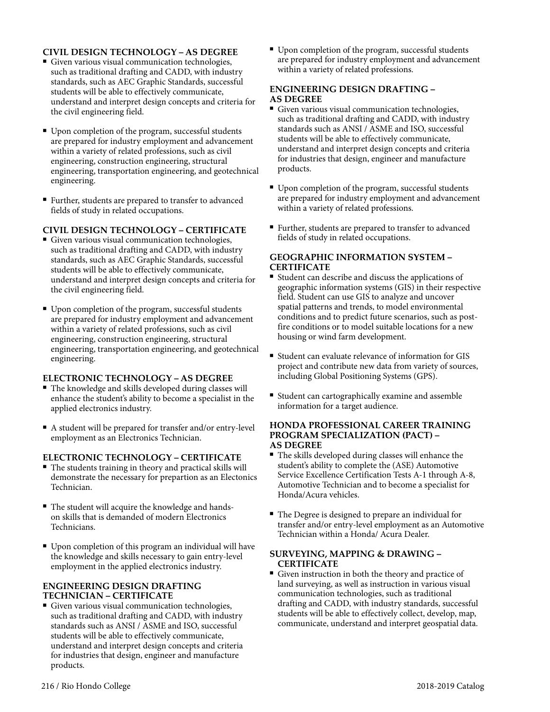#### **CIVIL DESIGN TECHNOLOGY – AS DEGREE**

- <sup>n</sup> Given various visual communication technologies, such as traditional drafting and CADD, with industry standards, such as AEC Graphic Standards, successful students will be able to effectively communicate, understand and interpret design concepts and criteria for the civil engineering field.
- Upon completion of the program, successful students are prepared for industry employment and advancement within a variety of related professions, such as civil engineering, construction engineering, structural engineering, transportation engineering, and geotechnical engineering.
- Further, students are prepared to transfer to advanced fields of study in related occupations.

#### **CIVIL DESIGN TECHNOLOGY – CERTIFICATE**

- Given various visual communication technologies, such as traditional drafting and CADD, with industry standards, such as AEC Graphic Standards, successful students will be able to effectively communicate, understand and interpret design concepts and criteria for the civil engineering field.
- Upon completion of the program, successful students are prepared for industry employment and advancement within a variety of related professions, such as civil engineering, construction engineering, structural engineering, transportation engineering, and geotechnical engineering.

#### **ELECTRONIC TECHNOLOGY – AS DEGREE**

- <sup>n</sup> The knowledge and skills developed during classes will enhance the student's ability to become a specialist in the applied electronics industry.
- <sup>n</sup> A student will be prepared for transfer and/or entry-level employment as an Electronics Technician.

#### **ELECTRONIC TECHNOLOGY – CERTIFICATE**

- $\blacksquare$  The students training in theory and practical skills will demonstrate the necessary for prepartion as an Electonics Technician.
- $\blacksquare$  The student will acquire the knowledge and handson skills that is demanded of modern Electronics Technicians.
- Upon completion of this program an individual will have the knowledge and skills necessary to gain entry-level employment in the applied electronics industry.

#### **ENGINEERING DESIGN DRAFTING TECHNICIAN – CERTIFICATE**

<sup>n</sup> Given various visual communication technologies, such as traditional drafting and CADD, with industry standards such as ANSI / ASME and ISO, successful students will be able to effectively communicate, understand and interpret design concepts and criteria for industries that design, engineer and manufacture products.

■ Upon completion of the program, successful students are prepared for industry employment and advancement within a variety of related professions.

#### **ENGINEERING DESIGN DRAFTING – AS DEGREE**

- Given various visual communication technologies, such as traditional drafting and CADD, with industry standards such as ANSI / ASME and ISO, successful students will be able to effectively communicate, understand and interpret design concepts and criteria for industries that design, engineer and manufacture products.
- Upon completion of the program, successful students are prepared for industry employment and advancement within a variety of related professions.
- <sup>n</sup> Further, students are prepared to transfer to advanced fields of study in related occupations.

#### **GEOGRAPHIC INFORMATION SYSTEM – CERTIFICATE**

- Student can describe and discuss the applications of geographic information systems (GIS) in their respective field. Student can use GIS to analyze and uncover spatial patterns and trends, to model environmental conditions and to predict future scenarios, such as postfire conditions or to model suitable locations for a new housing or wind farm development.
- <sup>n</sup> Student can evaluate relevance of information for GIS project and contribute new data from variety of sources, including Global Positioning Systems (GPS).
- Student can cartographically examine and assemble information for a target audience.

#### **HONDA PROFESSIONAL CAREER TRAINING PROGRAM SPECIALIZATION (PACT) – AS DEGREE**

- The skills developed during classes will enhance the student's ability to complete the (ASE) Automotive Service Excellence Certification Tests A-1 through A-8, Automotive Technician and to become a specialist for Honda/Acura vehicles.
- The Degree is designed to prepare an individual for transfer and/or entry-level employment as an Automotive Technician within a Honda/ Acura Dealer.

#### **SURVEYING, MAPPING & DRAWING – CERTIFICATE**

Given instruction in both the theory and practice of land surveying, as well as instruction in various visual communication technologies, such as traditional drafting and CADD, with industry standards, successful students will be able to effectively collect, develop, map, communicate, understand and interpret geospatial data.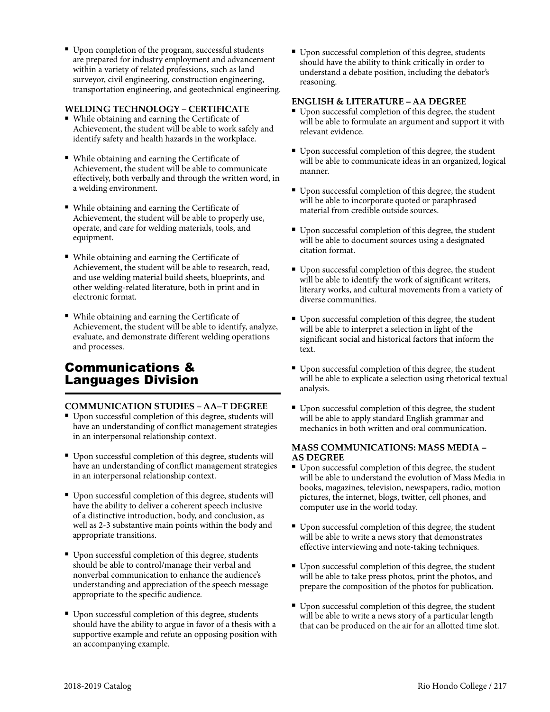■ Upon completion of the program, successful students are prepared for industry employment and advancement within a variety of related professions, such as land surveyor, civil engineering, construction engineering, transportation engineering, and geotechnical engineering.

#### **WELDING TECHNOLOGY – CERTIFICATE**

- <sup>n</sup> While obtaining and earning the Certificate of Achievement, the student will be able to work safely and identify safety and health hazards in the workplace.
- While obtaining and earning the Certificate of Achievement, the student will be able to communicate effectively, both verbally and through the written word, in a welding environment.
- While obtaining and earning the Certificate of Achievement, the student will be able to properly use, operate, and care for welding materials, tools, and equipment.
- While obtaining and earning the Certificate of Achievement, the student will be able to research, read, and use welding material build sheets, blueprints, and other welding-related literature, both in print and in electronic format.
- While obtaining and earning the Certificate of Achievement, the student will be able to identify, analyze, evaluate, and demonstrate different welding operations and processes.

## Communications & Languages Division

#### **COMMUNICATION STUDIES – AA–T DEGREE**

- <sup>n</sup> Upon successful completion of this degree, students will have an understanding of conflict management strategies in an interpersonal relationship context.
- <sup>n</sup> Upon successful completion of this degree, students will have an understanding of conflict management strategies in an interpersonal relationship context.
- Upon successful completion of this degree, students will have the ability to deliver a coherent speech inclusive of a distinctive introduction, body, and conclusion, as well as 2-3 substantive main points within the body and appropriate transitions.
- Upon successful completion of this degree, students should be able to control/manage their verbal and nonverbal communication to enhance the audience's understanding and appreciation of the speech message appropriate to the specific audience.
- Upon successful completion of this degree, students should have the ability to argue in favor of a thesis with a supportive example and refute an opposing position with an accompanying example.

■ Upon successful completion of this degree, students should have the ability to think critically in order to understand a debate position, including the debator's reasoning.

#### **ENGLISH & LITERATURE – AA DEGREE**

- $\blacksquare$  Upon successful completion of this degree, the student will be able to formulate an argument and support it with relevant evidence.
- Upon successful completion of this degree, the student will be able to communicate ideas in an organized, logical manner.
- Upon successful completion of this degree, the student will be able to incorporate quoted or paraphrased material from credible outside sources.
- Upon successful completion of this degree, the student will be able to document sources using a designated citation format.
- Upon successful completion of this degree, the student will be able to identify the work of significant writers, literary works, and cultural movements from a variety of diverse communities.
- Upon successful completion of this degree, the student will be able to interpret a selection in light of the significant social and historical factors that inform the text.
- Upon successful completion of this degree, the student will be able to explicate a selection using rhetorical textual analysis.
- Upon successful completion of this degree, the student will be able to apply standard English grammar and mechanics in both written and oral communication.

#### **MASS COMMUNICATIONS: MASS MEDIA – AS DEGREE**

- Upon successful completion of this degree, the student will be able to understand the evolution of Mass Media in books, magazines, television, newspapers, radio, motion pictures, the internet, blogs, twitter, cell phones, and computer use in the world today.
- $\blacksquare$  Upon successful completion of this degree, the student will be able to write a news story that demonstrates effective interviewing and note-taking techniques.
- Upon successful completion of this degree, the student will be able to take press photos, print the photos, and prepare the composition of the photos for publication.
- Upon successful completion of this degree, the student will be able to write a news story of a particular length that can be produced on the air for an allotted time slot.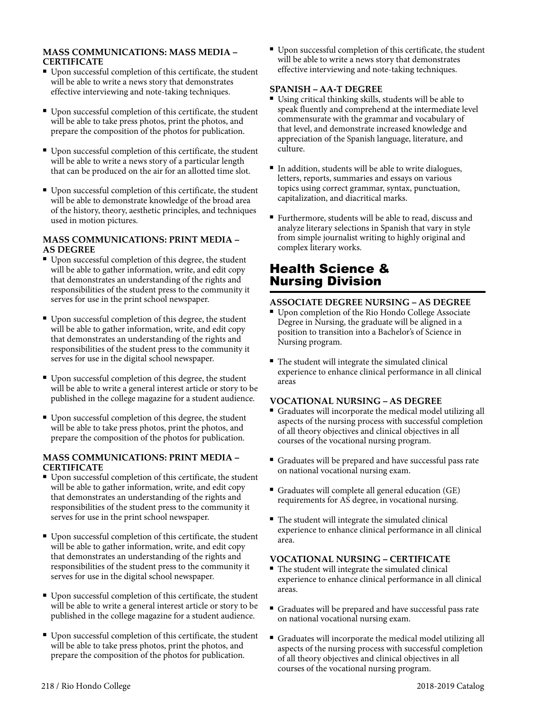#### **MASS COMMUNICATIONS: MASS MEDIA – CERTIFICATE**

- <sup>n</sup> Upon successful completion of this certificate, the student will be able to write a news story that demonstrates effective interviewing and note-taking techniques.
- Upon successful completion of this certificate, the student will be able to take press photos, print the photos, and prepare the composition of the photos for publication.
- Upon successful completion of this certificate, the student will be able to write a news story of a particular length that can be produced on the air for an allotted time slot.
- Upon successful completion of this certificate, the student will be able to demonstrate knowledge of the broad area of the history, theory, aesthetic principles, and techniques used in motion pictures.

#### **MASS COMMUNICATIONS: PRINT MEDIA – AS DEGREE**

- <sup>n</sup> Upon successful completion of this degree, the student will be able to gather information, write, and edit copy that demonstrates an understanding of the rights and responsibilities of the student press to the community it serves for use in the print school newspaper.
- Upon successful completion of this degree, the student will be able to gather information, write, and edit copy that demonstrates an understanding of the rights and responsibilities of the student press to the community it serves for use in the digital school newspaper.
- Upon successful completion of this degree, the student will be able to write a general interest article or story to be published in the college magazine for a student audience.
- Upon successful completion of this degree, the student will be able to take press photos, print the photos, and prepare the composition of the photos for publication.

#### **MASS COMMUNICATIONS: PRINT MEDIA – CERTIFICATE**

- <sup>n</sup> Upon successful completion of this certificate, the student will be able to gather information, write, and edit copy that demonstrates an understanding of the rights and responsibilities of the student press to the community it serves for use in the print school newspaper.
- <sup>n</sup> Upon successful completion of this certificate, the student will be able to gather information, write, and edit copy that demonstrates an understanding of the rights and responsibilities of the student press to the community it serves for use in the digital school newspaper.
- <sup>n</sup> Upon successful completion of this certificate, the student will be able to write a general interest article or story to be published in the college magazine for a student audience.
- Upon successful completion of this certificate, the student will be able to take press photos, print the photos, and prepare the composition of the photos for publication.

<sup>n</sup> Upon successful completion of this certificate, the student will be able to write a news story that demonstrates effective interviewing and note-taking techniques.

#### **SPANISH – AA-T DEGREE**

- <sup>n</sup> Using critical thinking skills, students will be able to speak fluently and comprehend at the intermediate level commensurate with the grammar and vocabulary of that level, and demonstrate increased knowledge and appreciation of the Spanish language, literature, and culture.
- <sup>n</sup> In addition, students will be able to write dialogues, letters, reports, summaries and essays on various topics using correct grammar, syntax, punctuation, capitalization, and diacritical marks.
- Furthermore, students will be able to read, discuss and analyze literary selections in Spanish that vary in style from simple journalist writing to highly original and complex literary works.

# Health Science & Nursing Division

#### **ASSOCIATE DEGREE NURSING – AS DEGREE**

- Upon completion of the Rio Hondo College Associate Degree in Nursing, the graduate will be aligned in a position to transition into a Bachelor's of Science in Nursing program.
- $\blacksquare$  The student will integrate the simulated clinical experience to enhance clinical performance in all clinical areas

#### **VOCATIONAL NURSING – AS DEGREE**

- <sup>n</sup> Graduates will incorporate the medical model utilizing all aspects of the nursing process with successful completion of all theory objectives and clinical objectives in all courses of the vocational nursing program.
- <sup>n</sup> Graduates will be prepared and have successful pass rate on national vocational nursing exam.
- Graduates will complete all general education  $(GE)$ requirements for AS degree, in vocational nursing.
- The student will integrate the simulated clinical experience to enhance clinical performance in all clinical area.

#### **VOCATIONAL NURSING – CERTIFICATE**

- The student will integrate the simulated clinical experience to enhance clinical performance in all clinical areas.
- <sup>n</sup> Graduates will be prepared and have successful pass rate on national vocational nursing exam.
- <sup>n</sup> Graduates will incorporate the medical model utilizing all aspects of the nursing process with successful completion of all theory objectives and clinical objectives in all courses of the vocational nursing program.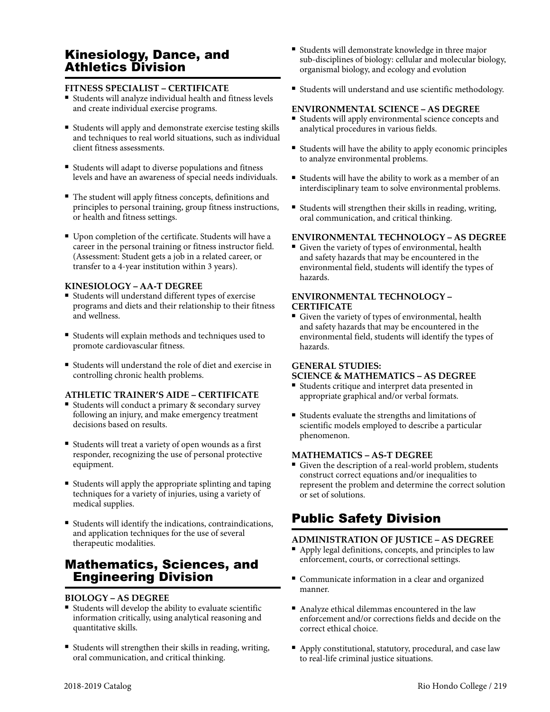# Kinesiology, Dance, and Athletics Division

#### **FITNESS SPECIALIST – CERTIFICATE**

- <sup>n</sup> Students will analyze individual health and fitness levels and create individual exercise programs.
- <sup>n</sup> Students will apply and demonstrate exercise testing skills and techniques to real world situations, such as individual client fitness assessments.
- <sup>n</sup> Students will adapt to diverse populations and fitness levels and have an awareness of special needs individuals.
- <sup>n</sup> The student will apply fitness concepts, definitions and principles to personal training, group fitness instructions, or health and fitness settings.
- <sup>n</sup> Upon completion of the certificate. Students will have a career in the personal training or fitness instructor field. (Assessment: Student gets a job in a related career, or transfer to a 4-year institution within 3 years).

#### **KINESIOLOGY – AA-T DEGREE**

- <sup>n</sup> Students will understand different types of exercise programs and diets and their relationship to their fitness and wellness.
- <sup>n</sup> Students will explain methods and techniques used to promote cardiovascular fitness.
- <sup>n</sup> Students will understand the role of diet and exercise in controlling chronic health problems.

#### **ATHLETIC TRAINER'S AIDE – CERTIFICATE**

- Students will conduct a primary & secondary survey following an injury, and make emergency treatment decisions based on results.
- <sup>n</sup> Students will treat a variety of open wounds as a first responder, recognizing the use of personal protective equipment.
- <sup>n</sup> Students will apply the appropriate splinting and taping techniques for a variety of injuries, using a variety of medical supplies.
- <sup>n</sup> Students will identify the indications, contraindications, and application techniques for the use of several therapeutic modalities.

# Mathematics, Sciences, and Engineering Division

#### **BIOLOGY – AS DEGREE**

- <sup>n</sup> Students will develop the ability to evaluate scientific information critically, using analytical reasoning and quantitative skills.
- <sup>n</sup> Students will strengthen their skills in reading, writing, oral communication, and critical thinking.
- <sup>n</sup> Students will demonstrate knowledge in three major sub-disciplines of biology: cellular and molecular biology, organismal biology, and ecology and evolution
- <sup>n</sup> Students will understand and use scientific methodology.

#### **ENVIRONMENTAL SCIENCE – AS DEGREE**

- <sup>n</sup> Students will apply environmental science concepts and analytical procedures in various fields.
- <sup>n</sup> Students will have the ability to apply economic principles to analyze environmental problems.
- $\blacksquare$  Students will have the ability to work as a member of an interdisciplinary team to solve environmental problems.
- <sup>n</sup> Students will strengthen their skills in reading, writing, oral communication, and critical thinking.

#### **ENVIRONMENTAL TECHNOLOGY – AS DEGREE**

Given the variety of types of environmental, health and safety hazards that may be encountered in the environmental field, students will identify the types of hazards.

#### **ENVIRONMENTAL TECHNOLOGY – CERTIFICATE**

<sup>n</sup> Given the variety of types of environmental, health and safety hazards that may be encountered in the environmental field, students will identify the types of hazards.

#### **GENERAL STUDIES:**

#### **SCIENCE & MATHEMATICS – AS DEGREE**

- <sup>n</sup> Students critique and interpret data presented in appropriate graphical and/or verbal formats.
- <sup>n</sup> Students evaluate the strengths and limitations of scientific models employed to describe a particular phenomenon.

#### **MATHEMATICS – AS-T DEGREE**

<sup>n</sup> Given the description of a real-world problem, students construct correct equations and/or inequalities to represent the problem and determine the correct solution or set of solutions.

# Public Safety Division

#### **ADMINISTRATION OF JUSTICE – AS DEGREE**

- Apply legal definitions, concepts, and principles to law enforcement, courts, or correctional settings.
- Communicate information in a clear and organized manner.
- $\blacksquare$  <br> Analyze ethical dilemmas encountered in the law enforcement and/or corrections fields and decide on the correct ethical choice.
- <sup>n</sup> Apply constitutional, statutory, procedural, and case law to real-life criminal justice situations.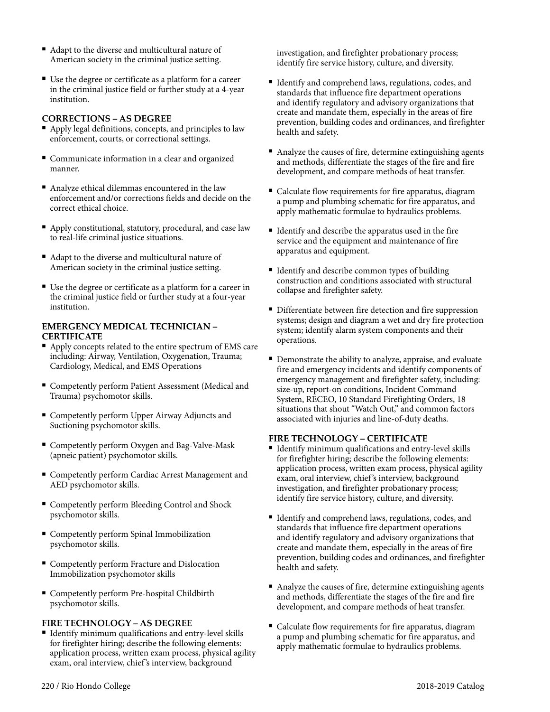- Adapt to the diverse and multicultural nature of American society in the criminal justice setting.
- <sup>n</sup> Use the degree or certificate as a platform for a career in the criminal justice field or further study at a 4-year institution.

#### **CORRECTIONS – AS DEGREE**

- <sup>n</sup> Apply legal definitions, concepts, and principles to law enforcement, courts, or correctional settings.
- Communicate information in a clear and organized manner.
- n Analyze ethical dilemmas encountered in the law enforcement and/or corrections fields and decide on the correct ethical choice.
- <sup>n</sup> Apply constitutional, statutory, procedural, and case law to real-life criminal justice situations.
- Adapt to the diverse and multicultural nature of American society in the criminal justice setting.
- <sup>n</sup> Use the degree or certificate as a platform for a career in the criminal justice field or further study at a four-year institution.

#### **EMERGENCY MEDICAL TECHNICIAN – CERTIFICATE**

- <sup>n</sup> Apply concepts related to the entire spectrum of EMS care including: Airway, Ventilation, Oxygenation, Trauma; Cardiology, Medical, and EMS Operations
- **Exercise Competently perform Patient Assessment (Medical and** Trauma) psychomotor skills.
- Competently perform Upper Airway Adjuncts and Suctioning psychomotor skills.
- Competently perform Oxygen and Bag-Valve-Mask (apneic patient) psychomotor skills.
- Competently perform Cardiac Arrest Management and AED psychomotor skills.
- Competently perform Bleeding Control and Shock psychomotor skills.
- **Example 1** Competently perform Spinal Immobilization psychomotor skills.
- Competently perform Fracture and Dislocation Immobilization psychomotor skills
- <sup>n</sup> Competently perform Pre-hospital Childbirth psychomotor skills.

#### **FIRE TECHNOLOGY – AS DEGREE**

■ Identify minimum qualifications and entry-level skills for firefighter hiring; describe the following elements: application process, written exam process, physical agility exam, oral interview, chief 's interview, background

investigation, and firefighter probationary process; identify fire service history, culture, and diversity.

- Identify and comprehend laws, regulations, codes, and standards that influence fire department operations and identify regulatory and advisory organizations that create and mandate them, especially in the areas of fire prevention, building codes and ordinances, and firefighter health and safety.
- Analyze the causes of fire, determine extinguishing agents and methods, differentiate the stages of the fire and fire development, and compare methods of heat transfer.
- Calculate flow requirements for fire apparatus, diagram a pump and plumbing schematic for fire apparatus, and apply mathematic formulae to hydraulics problems.
- Identify and describe the apparatus used in the fire service and the equipment and maintenance of fire apparatus and equipment.
- Identify and describe common types of building construction and conditions associated with structural collapse and firefighter safety.
- Differentiate between fire detection and fire suppression systems; design and diagram a wet and dry fire protection system; identify alarm system components and their operations.
- <sup>n</sup> Demonstrate the ability to analyze, appraise, and evaluate fire and emergency incidents and identify components of emergency management and firefighter safety, including: size-up, report-on conditions, Incident Command System, RECEO, 10 Standard Firefighting Orders, 18 situations that shout "Watch Out," and common factors associated with injuries and line-of-duty deaths.

#### **FIRE TECHNOLOGY – CERTIFICATE**

- Identify minimum qualifications and entry-level skills for firefighter hiring; describe the following elements: application process, written exam process, physical agility exam, oral interview, chief 's interview, background investigation, and firefighter probationary process; identify fire service history, culture, and diversity.
- <sup>n</sup> Identify and comprehend laws, regulations, codes, and standards that influence fire department operations and identify regulatory and advisory organizations that create and mandate them, especially in the areas of fire prevention, building codes and ordinances, and firefighter health and safety.
- <sup>n</sup> Analyze the causes of fire, determine extinguishing agents and methods, differentiate the stages of the fire and fire development, and compare methods of heat transfer.
- <sup>n</sup> Calculate flow requirements for fire apparatus, diagram a pump and plumbing schematic for fire apparatus, and apply mathematic formulae to hydraulics problems.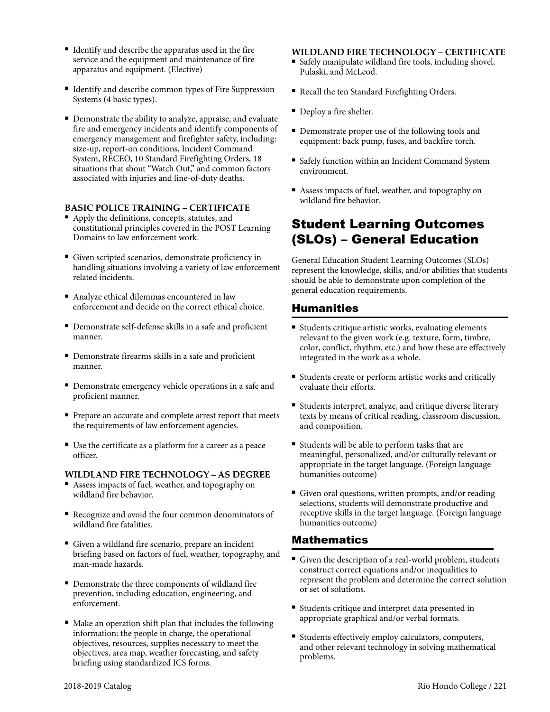- <sup>n</sup> Identify and describe the apparatus used in the fire service and the equipment and maintenance of fire apparatus and equipment. (Elective)
- <sup>n</sup> Identify and describe common types of Fire Suppression Systems (4 basic types).
- <sup>n</sup> Demonstrate the ability to analyze, appraise, and evaluate fire and emergency incidents and identify components of emergency management and firefighter safety, including: size-up, report-on conditions, Incident Command System, RECEO, 10 Standard Firefighting Orders, 18 situations that shout "Watch Out," and common factors associated with injuries and line-of-duty deaths.

#### **BASIC POLICE TRAINING – CERTIFICATE**

- Apply the definitions, concepts, statutes, and constitutional principles covered in the POST Learning Domains to law enforcement work.
- <sup>n</sup> Given scripted scenarios, demonstrate proficiency in handling situations involving a variety of law enforcement related incidents.
- Analyze ethical dilemmas encountered in law enforcement and decide on the correct ethical choice.
- <sup>n</sup> Demonstrate self-defense skills in a safe and proficient manner.
- Demonstrate firearms skills in a safe and proficient manner.
- <sup>n</sup> Demonstrate emergency vehicle operations in a safe and proficient manner.
- <sup>n</sup> Prepare an accurate and complete arrest report that meets the requirements of law enforcement agencies.
- <sup>n</sup> Use the certificate as a platform for a career as a peace officer.

#### **WILDLAND FIRE TECHNOLOGY – AS DEGREE**

- <sup>n</sup> Assess impacts of fuel, weather, and topography on wildland fire behavior.
- <sup>n</sup> Recognize and avoid the four common denominators of wildland fire fatalities.
- $\blacksquare$  <br> Given a wildland fire scenario, prepare an incident briefing based on factors of fuel, weather, topography, and man-made hazards.
- Demonstrate the three components of wildland fire prevention, including education, engineering, and enforcement.
- Make an operation shift plan that includes the following information: the people in charge, the operational objectives, resources, supplies necessary to meet the objectives, area map, weather forecasting, and safety briefing using standardized ICS forms.

#### **WILDLAND FIRE TECHNOLOGY – CERTIFICATE**

- <sup>n</sup> Safely manipulate wildland fire tools, including shovel, Pulaski, and McLeod.
- Recall the ten Standard Firefighting Orders.
- Deploy a fire shelter.
- Demonstrate proper use of the following tools and equipment: back pump, fuses, and backfire torch.
- Safely function within an Incident Command System environment.
- Assess impacts of fuel, weather, and topography on wildland fire behavior.

# Student Learning Outcomes (SLOs) – General Education

General Education Student Learning Outcomes (SLOs) represent the knowledge, skills, and/or abilities that students should be able to demonstrate upon completion of the general education requirements.

#### Humanities

- Students critique artistic works, evaluating elements relevant to the given work (e.g. texture, form, timbre, color, conflict, rhythm, etc.) and how these are effectively integrated in the work as a whole.
- Students create or perform artistic works and critically evaluate their efforts.
- Students interpret, analyze, and critique diverse literary texts by means of critical reading, classroom discussion, and composition.
- Students will be able to perform tasks that are meaningful, personalized, and/or culturally relevant or appropriate in the target language. (Foreign language humanities outcome)
- Given oral questions, written prompts, and/or reading selections, students will demonstrate productive and receptive skills in the target language. (Foreign language humanities outcome)

#### Mathematics

- Given the description of a real-world problem, students construct correct equations and/or inequalities to represent the problem and determine the correct solution or set of solutions.
- Students critique and interpret data presented in appropriate graphical and/or verbal formats.
- <sup>n</sup> Students effectively employ calculators, computers, and other relevant technology in solving mathematical problems.